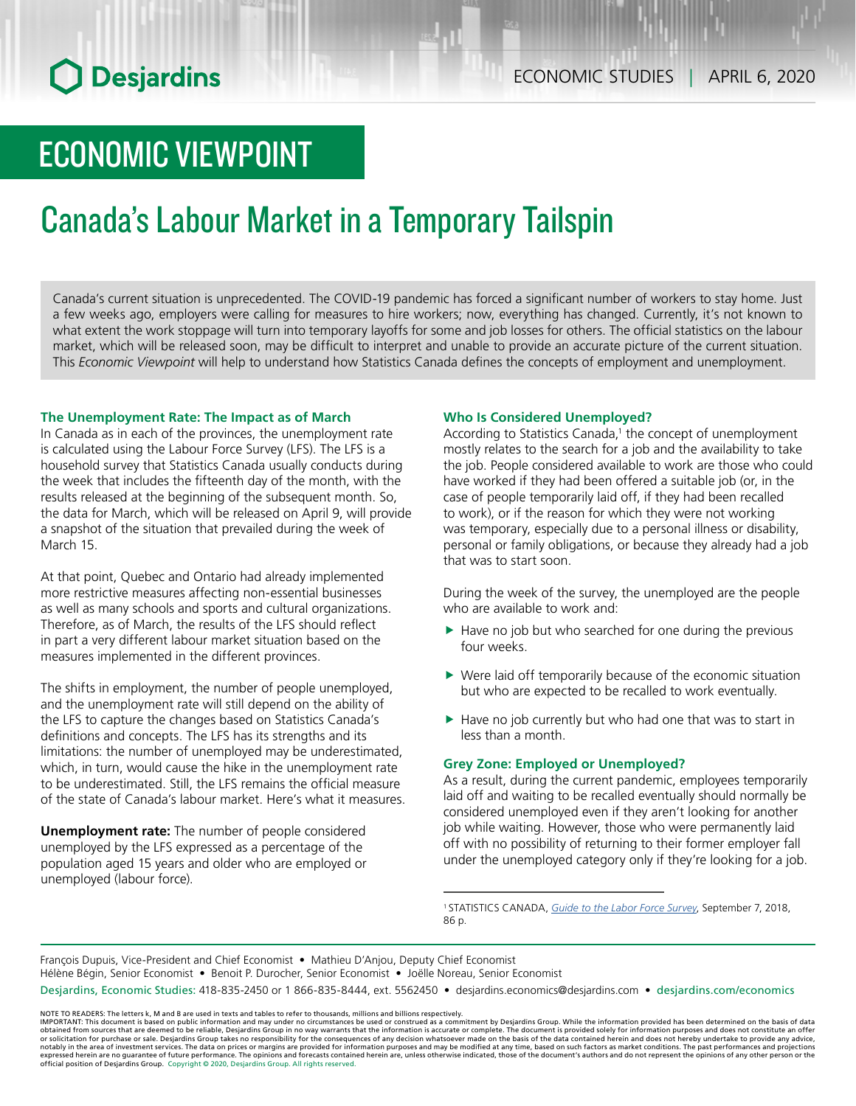# ECONOMIC VIEWPOINT

# Canada's Labour Market in a Temporary Tailspin

Canada's current situation is unprecedented. The COVID-19 pandemic has forced a significant number of workers to stay home. Just a few weeks ago, employers were calling for measures to hire workers; now, everything has changed. Currently, it's not known to what extent the work stoppage will turn into temporary layoffs for some and job losses for others. The official statistics on the labour market, which will be released soon, may be difficult to interpret and unable to provide an accurate picture of the current situation. This *Economic Viewpoint* will help to understand how Statistics Canada defines the concepts of employment and unemployment.

### **The Unemployment Rate: The Impact as of March**

In Canada as in each of the provinces, the unemployment rate is calculated using the Labour Force Survey (LFS). The LFS is a household survey that Statistics Canada usually conducts during the week that includes the fifteenth day of the month, with the results released at the beginning of the subsequent month. So, the data for March, which will be released on April 9, will provide a snapshot of the situation that prevailed during the week of March 15.

At that point, Quebec and Ontario had already implemented more restrictive measures affecting non-essential businesses as well as many schools and sports and cultural organizations. Therefore, as of March, the results of the LFS should reflect in part a very different labour market situation based on the measures implemented in the different provinces.

The shifts in employment, the number of people unemployed, and the unemployment rate will still depend on the ability of the LFS to capture the changes based on Statistics Canada's definitions and concepts. The LFS has its strengths and its limitations: the number of unemployed may be underestimated, which, in turn, would cause the hike in the unemployment rate to be underestimated. Still, the LFS remains the official measure of the state of Canada's labour market. Here's what it measures.

**Unemployment rate:** The number of people considered unemployed by the LFS expressed as a percentage of the population aged 15 years and older who are employed or unemployed (labour force).

### **Who Is Considered Unemployed?**

According to Statistics Canada,<sup>1</sup> the concept of unemployment mostly relates to the search for a job and the availability to take the job. People considered available to work are those who could have worked if they had been offered a suitable job (or, in the case of people temporarily laid off, if they had been recalled to work), or if the reason for which they were not working was temporary, especially due to a personal illness or disability, personal or family obligations, or because they already had a job that was to start soon.

During the week of the survey, the unemployed are the people who are available to work and:

- $\blacktriangleright$  Have no job but who searched for one during the previous four weeks.
- $\blacktriangleright$  Were laid off temporarily because of the economic situation but who are expected to be recalled to work eventually.
- $\blacktriangleright$  Have no job currently but who had one that was to start in less than a month.

## **Grey Zone: Employed or Unemployed?**

As a result, during the current pandemic, employees temporarily laid off and waiting to be recalled eventually should normally be considered unemployed even if they aren't looking for another job while waiting. However, those who were permanently laid off with no possibility of returning to their former employer fall under the unemployed category only if they're looking for a job.

1 STATISTICS CANADA, *[Guide to the Labor Force Survey](https://www150.statcan.gc.ca/n1/en/pub/71-543-g/71-543-g2018001-eng.pdf?st=cJJvpUkU)*, September 7, 2018, 86 p.

François Dupuis, Vice-President and Chief Economist • Mathieu D'Anjou, Deputy Chief Economist Hélène Bégin, Senior Economist • Benoit P. Durocher, Senior Economist • Joëlle Noreau, Senior Economist Desjardins, Economic Studies: 418-835-2450 or 1 866-835-8444, ext. 5562450 • desjardins.economics@desjardins.com • desjardins.com/economics

NOTE TO READERS: The letters k, M and B are used in texts and tables to refer to thousands, millions and billions respectively.<br>IMPORTANT: This document is based on public information and may under no circumstances be used obtained from sources that are deemed to be reliable, Desjardins Group in no way warrants that the information is accurate or complete. The document is provided solely for information purposes and does not constitute an of expressed herein are no guarantee of future performance. The opinions and forecasts contained herein are, unless otherwise indicated, those of the document's authors and do not represent the opinions of any other person or official position of Desjardins Group. Copyright © 2020, Desjardins Group. All rights reserved.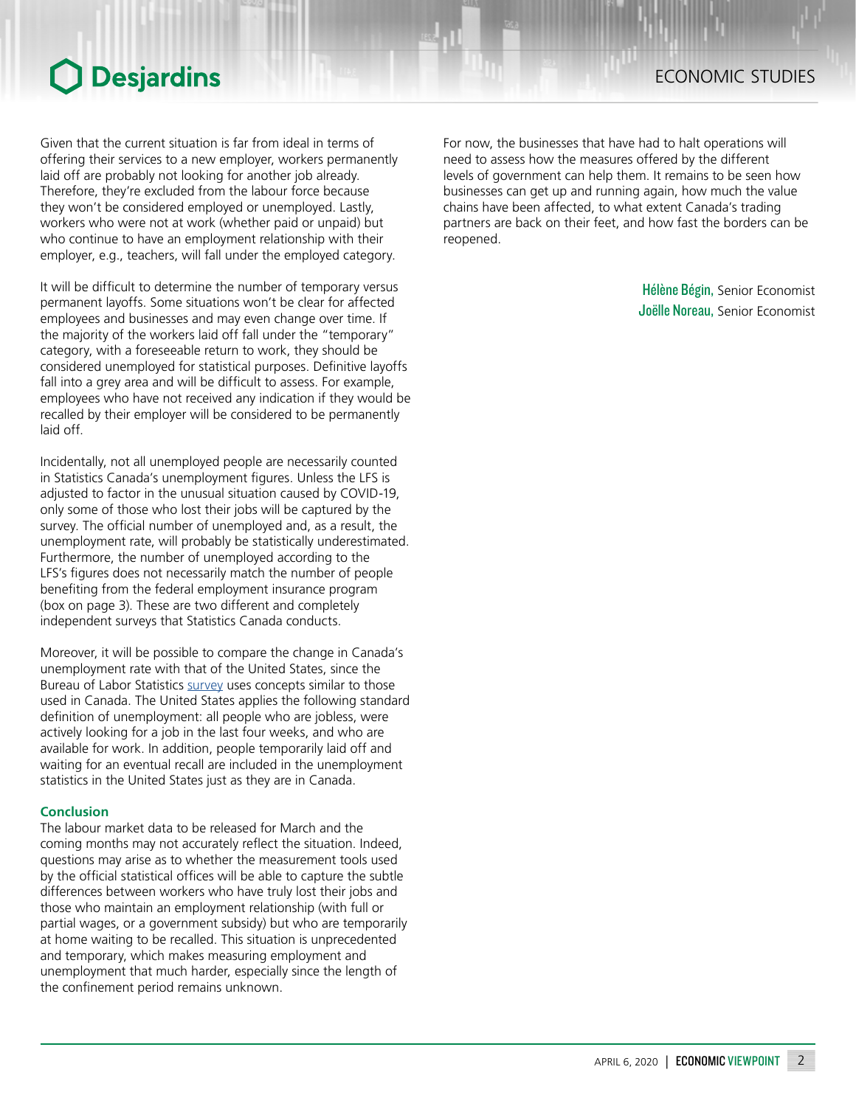## O Desjardins

Given that the current situation is far from ideal in terms of offering their services to a new employer, workers permanently laid off are probably not looking for another job already. Therefore, they're excluded from the labour force because they won't be considered employed or unemployed. Lastly, workers who were not at work (whether paid or unpaid) but who continue to have an employment relationship with their employer, e.g., teachers, will fall under the employed category.

It will be difficult to determine the number of temporary versus permanent layoffs. Some situations won't be clear for affected employees and businesses and may even change over time. If the majority of the workers laid off fall under the "temporary" category, with a foreseeable return to work, they should be considered unemployed for statistical purposes. Definitive layoffs fall into a grey area and will be difficult to assess. For example, employees who have not received any indication if they would be recalled by their employer will be considered to be permanently laid off.

Incidentally, not all unemployed people are necessarily counted in Statistics Canada's unemployment figures. Unless the LFS is adjusted to factor in the unusual situation caused by COVID-19, only some of those who lost their jobs will be captured by the survey. The official number of unemployed and, as a result, the unemployment rate, will probably be statistically underestimated. Furthermore, the number of unemployed according to the LFS's figures does not necessarily match the number of people benefiting from the federal employment insurance program (box on page 3). These are two different and completely independent surveys that Statistics Canada conducts.

Moreover, it will be possible to compare the change in Canada's unemployment rate with that of the United States, since the Bureau of Labor Statistics [survey](https://www.bls.gov/cps/cps_htgm.pdf) uses concepts similar to those used in Canada. The United States applies the following standard definition of unemployment: all people who are jobless, were actively looking for a job in the last four weeks, and who are available for work. In addition, people temporarily laid off and waiting for an eventual recall are included in the unemployment statistics in the United States just as they are in Canada.

### **Conclusion**

The labour market data to be released for March and the coming months may not accurately reflect the situation. Indeed, questions may arise as to whether the measurement tools used by the official statistical offices will be able to capture the subtle differences between workers who have truly lost their jobs and those who maintain an employment relationship (with full or partial wages, or a government subsidy) but who are temporarily at home waiting to be recalled. This situation is unprecedented and temporary, which makes measuring employment and unemployment that much harder, especially since the length of the confinement period remains unknown.

ECONOMIC STUDIES

For now, the businesses that have had to halt operations will need to assess how the measures offered by the different levels of government can help them. It remains to be seen how businesses can get up and running again, how much the value chains have been affected, to what extent Canada's trading partners are back on their feet, and how fast the borders can be reopened.

> Hélène Bégin, Senior Economist Joëlle Noreau, Senior Economist